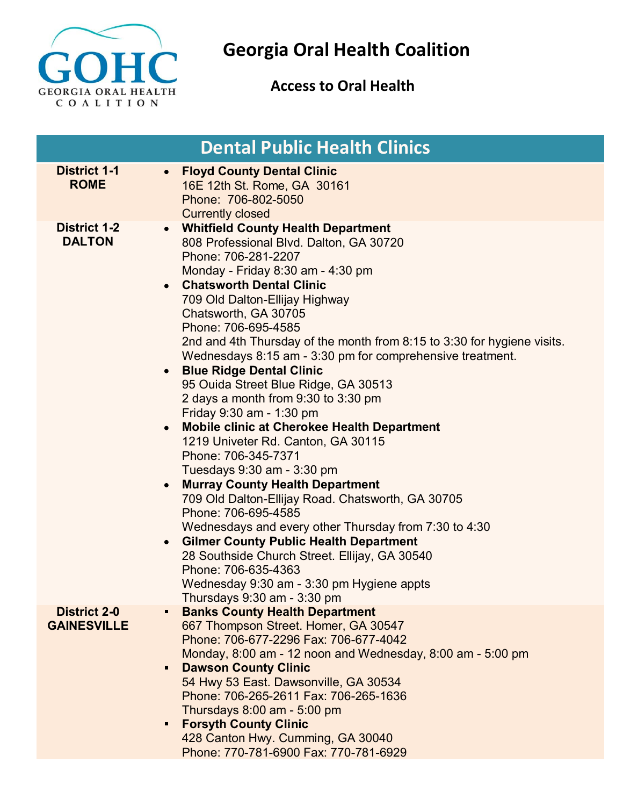

## **Georgia Oral Health Coalition**

## **Access to Oral Health**

|                                           | <b>Dental Public Health Clinics</b>                                                                                                                                                                                                                                                                                                                                                                                                                                                                                                                                                                                                                                                                                                                                                                                                                                                                                                                                                                                                                                                                                       |
|-------------------------------------------|---------------------------------------------------------------------------------------------------------------------------------------------------------------------------------------------------------------------------------------------------------------------------------------------------------------------------------------------------------------------------------------------------------------------------------------------------------------------------------------------------------------------------------------------------------------------------------------------------------------------------------------------------------------------------------------------------------------------------------------------------------------------------------------------------------------------------------------------------------------------------------------------------------------------------------------------------------------------------------------------------------------------------------------------------------------------------------------------------------------------------|
| <b>District 1-1</b><br><b>ROME</b>        | <b>Floyd County Dental Clinic</b><br>$\bullet$<br>16E 12th St. Rome, GA 30161<br>Phone: 706-802-5050<br><b>Currently closed</b>                                                                                                                                                                                                                                                                                                                                                                                                                                                                                                                                                                                                                                                                                                                                                                                                                                                                                                                                                                                           |
| <b>District 1-2</b><br><b>DALTON</b>      | <b>Whitfield County Health Department</b><br>$\bullet$<br>808 Professional Blvd. Dalton, GA 30720<br>Phone: 706-281-2207<br>Monday - Friday 8:30 am - 4:30 pm<br><b>Chatsworth Dental Clinic</b><br>709 Old Dalton-Ellijay Highway<br>Chatsworth, GA 30705<br>Phone: 706-695-4585<br>2nd and 4th Thursday of the month from 8:15 to 3:30 for hygiene visits.<br>Wednesdays 8:15 am - 3:30 pm for comprehensive treatment.<br><b>Blue Ridge Dental Clinic</b><br>95 Ouida Street Blue Ridge, GA 30513<br>2 days a month from 9:30 to 3:30 pm<br>Friday 9:30 am - 1:30 pm<br><b>Mobile clinic at Cherokee Health Department</b><br>1219 Univeter Rd. Canton, GA 30115<br>Phone: 706-345-7371<br>Tuesdays 9:30 am - 3:30 pm<br><b>Murray County Health Department</b><br>$\bullet$<br>709 Old Dalton-Ellijay Road. Chatsworth, GA 30705<br>Phone: 706-695-4585<br>Wednesdays and every other Thursday from 7:30 to 4:30<br><b>Gilmer County Public Health Department</b><br>28 Southside Church Street. Ellijay, GA 30540<br>Phone: 706-635-4363<br>Wednesday 9:30 am - 3:30 pm Hygiene appts<br>Thursdays 9:30 am - 3:30 pm |
| <b>District 2-0</b><br><b>GAINESVILLE</b> | <b>Banks County Health Department</b><br>667 Thompson Street. Homer, GA 30547<br>Phone: 706-677-2296 Fax: 706-677-4042<br>Monday, 8:00 am - 12 noon and Wednesday, 8:00 am - 5:00 pm<br><b>Dawson County Clinic</b><br>$\blacksquare$<br>54 Hwy 53 East. Dawsonville, GA 30534<br>Phone: 706-265-2611 Fax: 706-265-1636<br>Thursdays 8:00 am - 5:00 pm<br><b>Forsyth County Clinic</b><br>428 Canton Hwy. Cumming, GA 30040<br>Phone: 770-781-6900 Fax: 770-781-6929                                                                                                                                                                                                                                                                                                                                                                                                                                                                                                                                                                                                                                                      |
|                                           |                                                                                                                                                                                                                                                                                                                                                                                                                                                                                                                                                                                                                                                                                                                                                                                                                                                                                                                                                                                                                                                                                                                           |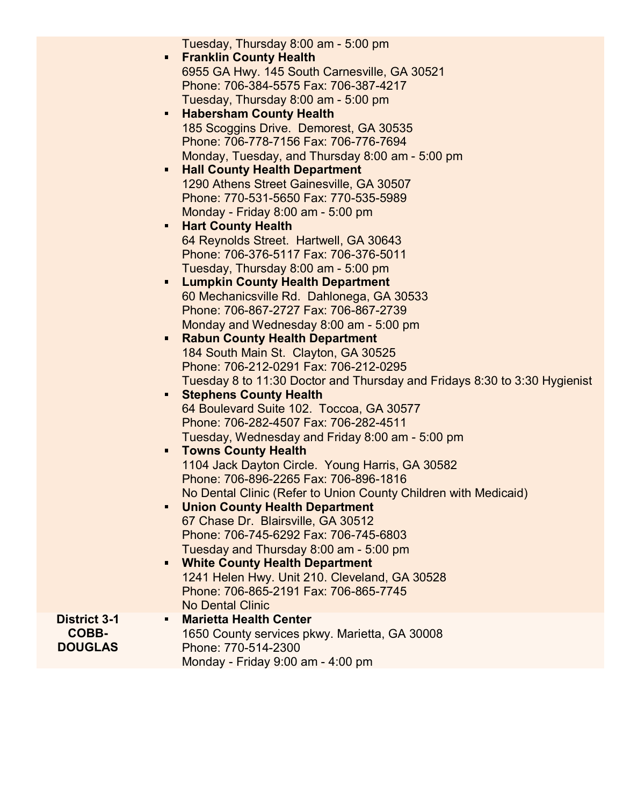| $\blacksquare$<br>Ξ<br>п<br>$\blacksquare$<br>$\blacksquare$<br>$\blacksquare$<br>$\blacksquare$<br>п<br>$\blacksquare$<br>$\blacksquare$ | Tuesday, Thursday 8:00 am - 5:00 pm<br><b>Franklin County Health</b><br>6955 GA Hwy. 145 South Carnesville, GA 30521<br>Phone: 706-384-5575 Fax: 706-387-4217<br>Tuesday, Thursday 8:00 am - 5:00 pm<br><b>Habersham County Health</b><br>185 Scoggins Drive. Demorest, GA 30535<br>Phone: 706-778-7156 Fax: 706-776-7694<br>Monday, Tuesday, and Thursday 8:00 am - 5:00 pm<br><b>Hall County Health Department</b><br>1290 Athens Street Gainesville, GA 30507<br>Phone: 770-531-5650 Fax: 770-535-5989<br>Monday - Friday 8:00 am - 5:00 pm<br><b>Hart County Health</b><br>64 Reynolds Street. Hartwell, GA 30643<br>Phone: 706-376-5117 Fax: 706-376-5011<br>Tuesday, Thursday 8:00 am - 5:00 pm<br><b>Lumpkin County Health Department</b><br>60 Mechanicsville Rd. Dahlonega, GA 30533<br>Phone: 706-867-2727 Fax: 706-867-2739<br>Monday and Wednesday 8:00 am - 5:00 pm<br><b>Rabun County Health Department</b><br>184 South Main St. Clayton, GA 30525<br>Phone: 706-212-0291 Fax: 706-212-0295<br>Tuesday 8 to 11:30 Doctor and Thursday and Fridays 8:30 to 3:30 Hygienist<br><b>Stephens County Health</b><br>64 Boulevard Suite 102. Toccoa, GA 30577<br>Phone: 706-282-4507 Fax: 706-282-4511<br>Tuesday, Wednesday and Friday 8:00 am - 5:00 pm<br><b>Towns County Health</b><br>1104 Jack Dayton Circle. Young Harris, GA 30582<br>Phone: 706-896-2265 Fax: 706-896-1816<br>No Dental Clinic (Refer to Union County Children with Medicaid)<br><b>Union County Health Department</b><br>67 Chase Dr. Blairsville, GA 30512<br>Phone: 706-745-6292 Fax: 706-745-6803<br>Tuesday and Thursday 8:00 am - 5:00 pm<br><b>White County Health Department</b> |
|-------------------------------------------------------------------------------------------------------------------------------------------|--------------------------------------------------------------------------------------------------------------------------------------------------------------------------------------------------------------------------------------------------------------------------------------------------------------------------------------------------------------------------------------------------------------------------------------------------------------------------------------------------------------------------------------------------------------------------------------------------------------------------------------------------------------------------------------------------------------------------------------------------------------------------------------------------------------------------------------------------------------------------------------------------------------------------------------------------------------------------------------------------------------------------------------------------------------------------------------------------------------------------------------------------------------------------------------------------------------------------------------------------------------------------------------------------------------------------------------------------------------------------------------------------------------------------------------------------------------------------------------------------------------------------------------------------------------------------------------------------------------------------------------------------------------------------|
|                                                                                                                                           | 1241 Helen Hwy. Unit 210. Cleveland, GA 30528<br>Phone: 706-865-2191 Fax: 706-865-7745<br><b>No Dental Clinic</b>                                                                                                                                                                                                                                                                                                                                                                                                                                                                                                                                                                                                                                                                                                                                                                                                                                                                                                                                                                                                                                                                                                                                                                                                                                                                                                                                                                                                                                                                                                                                                        |
| <b>District 3-1</b><br>п<br>COBB-<br><b>DOUGLAS</b>                                                                                       | <b>Marietta Health Center</b><br>1650 County services pkwy. Marietta, GA 30008<br>Phone: 770-514-2300<br>Monday - Friday 9:00 am - 4:00 pm                                                                                                                                                                                                                                                                                                                                                                                                                                                                                                                                                                                                                                                                                                                                                                                                                                                                                                                                                                                                                                                                                                                                                                                                                                                                                                                                                                                                                                                                                                                               |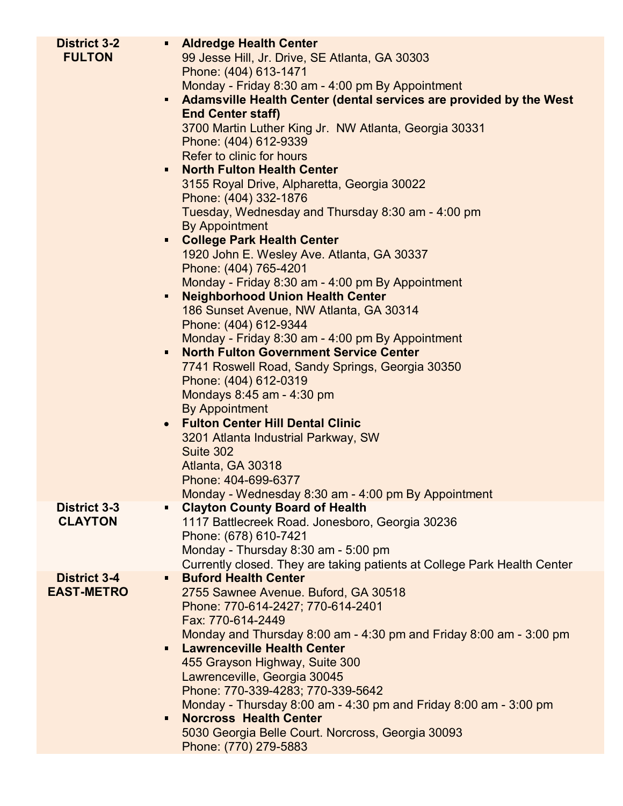| <b>District 3-2</b><br><b>FULTON</b>     | <b>Aldredge Health Center</b><br>99 Jesse Hill, Jr. Drive, SE Atlanta, GA 30303<br>Phone: (404) 613-1471<br>Monday - Friday 8:30 am - 4:00 pm By Appointment<br>Adamsville Health Center (dental services are provided by the West<br>$\blacksquare$<br><b>End Center staff)</b><br>3700 Martin Luther King Jr. NW Atlanta, Georgia 30331<br>Phone: (404) 612-9339<br>Refer to clinic for hours<br><b>North Fulton Health Center</b><br>$\blacksquare$<br>3155 Royal Drive, Alpharetta, Georgia 30022<br>Phone: (404) 332-1876<br>Tuesday, Wednesday and Thursday 8:30 am - 4:00 pm |
|------------------------------------------|-------------------------------------------------------------------------------------------------------------------------------------------------------------------------------------------------------------------------------------------------------------------------------------------------------------------------------------------------------------------------------------------------------------------------------------------------------------------------------------------------------------------------------------------------------------------------------------|
|                                          | <b>By Appointment</b><br><b>E</b> College Park Health Center<br>1920 John E. Wesley Ave. Atlanta, GA 30337<br>Phone: (404) 765-4201<br>Monday - Friday 8:30 am - 4:00 pm By Appointment                                                                                                                                                                                                                                                                                                                                                                                             |
|                                          | <b>Neighborhood Union Health Center</b><br>п<br>186 Sunset Avenue, NW Atlanta, GA 30314<br>Phone: (404) 612-9344<br>Monday - Friday 8:30 am - 4:00 pm By Appointment<br><b>North Fulton Government Service Center</b>                                                                                                                                                                                                                                                                                                                                                               |
|                                          | 7741 Roswell Road, Sandy Springs, Georgia 30350<br>Phone: (404) 612-0319<br>Mondays 8:45 am - 4:30 pm<br><b>By Appointment</b>                                                                                                                                                                                                                                                                                                                                                                                                                                                      |
|                                          | <b>Fulton Center Hill Dental Clinic</b><br>$\bullet$<br>3201 Atlanta Industrial Parkway, SW<br>Suite 302<br>Atlanta, GA 30318<br>Phone: 404-699-6377<br>Monday - Wednesday 8:30 am - 4:00 pm By Appointment                                                                                                                                                                                                                                                                                                                                                                         |
| <b>District 3-3</b>                      | <b>Clayton County Board of Health</b><br>Π                                                                                                                                                                                                                                                                                                                                                                                                                                                                                                                                          |
| <b>CLAYTON</b>                           | 1117 Battlecreek Road. Jonesboro, Georgia 30236<br>Phone: (678) 610-7421                                                                                                                                                                                                                                                                                                                                                                                                                                                                                                            |
|                                          | Monday - Thursday 8:30 am - 5:00 pm                                                                                                                                                                                                                                                                                                                                                                                                                                                                                                                                                 |
|                                          | Currently closed. They are taking patients at College Park Health Center<br><b>Buford Health Center</b>                                                                                                                                                                                                                                                                                                                                                                                                                                                                             |
| <b>District 3-4</b><br><b>EAST-METRO</b> | 2755 Sawnee Avenue. Buford, GA 30518                                                                                                                                                                                                                                                                                                                                                                                                                                                                                                                                                |
|                                          | Phone: 770-614-2427; 770-614-2401                                                                                                                                                                                                                                                                                                                                                                                                                                                                                                                                                   |
|                                          | Fax: 770-614-2449                                                                                                                                                                                                                                                                                                                                                                                                                                                                                                                                                                   |
|                                          | Monday and Thursday 8:00 am - 4:30 pm and Friday 8:00 am - 3:00 pm<br><b>Lawrenceville Health Center</b><br>$\blacksquare$                                                                                                                                                                                                                                                                                                                                                                                                                                                          |
|                                          | 455 Grayson Highway, Suite 300                                                                                                                                                                                                                                                                                                                                                                                                                                                                                                                                                      |
|                                          | Lawrenceville, Georgia 30045                                                                                                                                                                                                                                                                                                                                                                                                                                                                                                                                                        |
|                                          | Phone: 770-339-4283; 770-339-5642                                                                                                                                                                                                                                                                                                                                                                                                                                                                                                                                                   |
|                                          | Monday - Thursday 8:00 am - 4:30 pm and Friday 8:00 am - 3:00 pm<br><b>Norcross Health Center</b>                                                                                                                                                                                                                                                                                                                                                                                                                                                                                   |
|                                          | 5030 Georgia Belle Court. Norcross, Georgia 30093                                                                                                                                                                                                                                                                                                                                                                                                                                                                                                                                   |
|                                          | Phone: (770) 279-5883                                                                                                                                                                                                                                                                                                                                                                                                                                                                                                                                                               |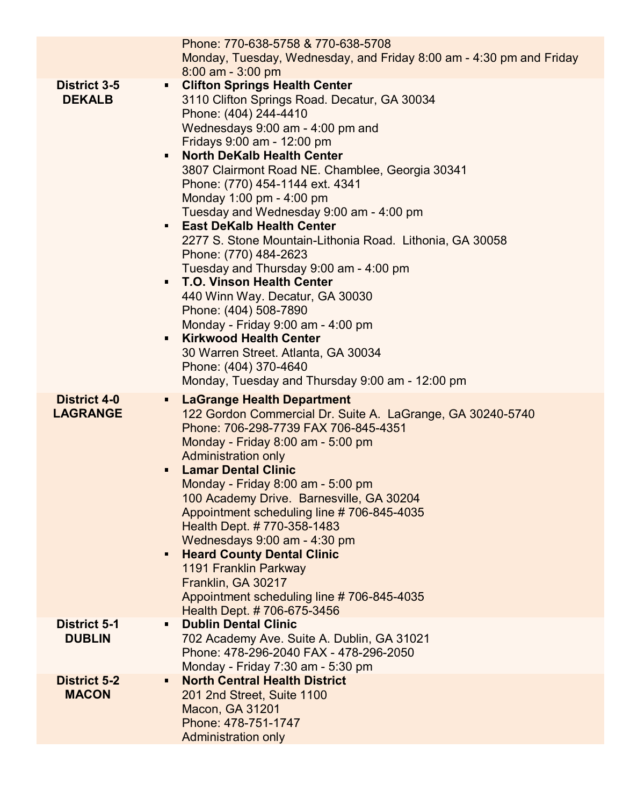|                                        | Phone: 770-638-5758 & 770-638-5708<br>Monday, Tuesday, Wednesday, and Friday 8:00 am - 4:30 pm and Friday<br>$8:00$ am - 3:00 pm                                                                                                                                                                                                                                                                                                                                                                                                                                                                                                                                                                                                                                                                                                                                                                         |
|----------------------------------------|----------------------------------------------------------------------------------------------------------------------------------------------------------------------------------------------------------------------------------------------------------------------------------------------------------------------------------------------------------------------------------------------------------------------------------------------------------------------------------------------------------------------------------------------------------------------------------------------------------------------------------------------------------------------------------------------------------------------------------------------------------------------------------------------------------------------------------------------------------------------------------------------------------|
| <b>District 3-5</b><br><b>DEKALB</b>   | <b>Clifton Springs Health Center</b><br>$\blacksquare$<br>3110 Clifton Springs Road. Decatur, GA 30034<br>Phone: (404) 244-4410<br>Wednesdays 9:00 am - 4:00 pm and<br>Fridays 9:00 am - 12:00 pm<br><b>North DeKalb Health Center</b><br>3807 Clairmont Road NE. Chamblee, Georgia 30341<br>Phone: (770) 454-1144 ext. 4341<br>Monday 1:00 pm - 4:00 pm<br>Tuesday and Wednesday 9:00 am - 4:00 pm<br><b>East DeKalb Health Center</b><br>$\blacksquare$<br>2277 S. Stone Mountain-Lithonia Road. Lithonia, GA 30058<br>Phone: (770) 484-2623<br>Tuesday and Thursday 9:00 am - 4:00 pm<br><b>T.O. Vinson Health Center</b><br>$\blacksquare$<br>440 Winn Way. Decatur, GA 30030<br>Phone: (404) 508-7890<br>Monday - Friday 9:00 am - 4:00 pm<br><b>Kirkwood Health Center</b><br>п<br>30 Warren Street. Atlanta, GA 30034<br>Phone: (404) 370-4640<br>Monday, Tuesday and Thursday 9:00 am - 12:00 pm |
| <b>District 4-0</b><br><b>LAGRANGE</b> | <b>LaGrange Health Department</b><br>$\blacksquare$<br>122 Gordon Commercial Dr. Suite A. LaGrange, GA 30240-5740<br>Phone: 706-298-7739 FAX 706-845-4351<br>Monday - Friday 8:00 am - 5:00 pm<br><b>Administration only</b><br><b>Lamar Dental Clinic</b><br>п<br>Monday - Friday 8:00 am - 5:00 pm<br>100 Academy Drive. Barnesville, GA 30204<br>Appointment scheduling line #706-845-4035<br>Health Dept. #770-358-1483<br>Wednesdays 9:00 am - 4:30 pm<br><b>Heard County Dental Clinic</b><br>$\blacksquare$<br>1191 Franklin Parkway<br>Franklin, GA 30217<br>Appointment scheduling line #706-845-4035<br>Health Dept. #706-675-3456                                                                                                                                                                                                                                                             |
| <b>District 5-1</b><br><b>DUBLIN</b>   | <b>Dublin Dental Clinic</b><br>702 Academy Ave. Suite A. Dublin, GA 31021<br>Phone: 478-296-2040 FAX - 478-296-2050<br>Monday - Friday 7:30 am - 5:30 pm                                                                                                                                                                                                                                                                                                                                                                                                                                                                                                                                                                                                                                                                                                                                                 |
| <b>District 5-2</b><br><b>MACON</b>    | <b>North Central Health District</b><br>$\blacksquare$<br>201 2nd Street, Suite 1100<br><b>Macon, GA 31201</b><br>Phone: 478-751-1747<br>Administration only                                                                                                                                                                                                                                                                                                                                                                                                                                                                                                                                                                                                                                                                                                                                             |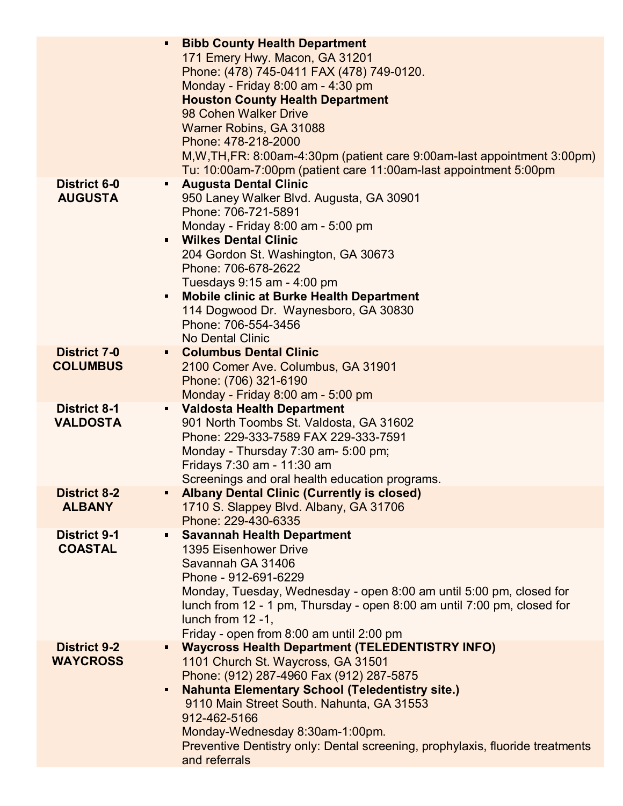|                                        | <b>Bibb County Health Department</b><br>$\blacksquare$<br>171 Emery Hwy. Macon, GA 31201<br>Phone: (478) 745-0411 FAX (478) 749-0120.<br>Monday - Friday 8:00 am - 4:30 pm<br><b>Houston County Health Department</b><br>98 Cohen Walker Drive<br>Warner Robins, GA 31088<br>Phone: 478-218-2000<br>M, W, TH, FR: 8:00am-4:30pm (patient care 9:00am-last appointment 3:00pm)<br>Tu: 10:00am-7:00pm (patient care 11:00am-last appointment 5:00pm |
|----------------------------------------|---------------------------------------------------------------------------------------------------------------------------------------------------------------------------------------------------------------------------------------------------------------------------------------------------------------------------------------------------------------------------------------------------------------------------------------------------|
| <b>District 6-0</b><br><b>AUGUSTA</b>  | <b>Augusta Dental Clinic</b><br>П<br>950 Laney Walker Blvd. Augusta, GA 30901<br>Phone: 706-721-5891<br>Monday - Friday 8:00 am - 5:00 pm<br><b>Wilkes Dental Clinic</b><br>$\blacksquare$<br>204 Gordon St. Washington, GA 30673<br>Phone: 706-678-2622<br>Tuesdays 9:15 am - 4:00 pm<br><b>Mobile clinic at Burke Health Department</b><br>п<br>114 Dogwood Dr. Waynesboro, GA 30830<br>Phone: 706-554-3456<br><b>No Dental Clinic</b>          |
| <b>District 7-0</b><br><b>COLUMBUS</b> | <b>Columbus Dental Clinic</b><br>$\blacksquare$<br>2100 Comer Ave. Columbus, GA 31901<br>Phone: (706) 321-6190<br>Monday - Friday 8:00 am - 5:00 pm                                                                                                                                                                                                                                                                                               |
| <b>District 8-1</b><br><b>VALDOSTA</b> | <b>Valdosta Health Department</b><br>$\blacksquare$<br>901 North Toombs St. Valdosta, GA 31602<br>Phone: 229-333-7589 FAX 229-333-7591<br>Monday - Thursday 7:30 am- 5:00 pm;<br>Fridays 7:30 am - 11:30 am<br>Screenings and oral health education programs.                                                                                                                                                                                     |
| <b>District 8-2</b><br><b>ALBANY</b>   | <b>Albany Dental Clinic (Currently is closed)</b><br>1710 S. Slappey Blvd. Albany, GA 31706<br>Phone: 229-430-6335                                                                                                                                                                                                                                                                                                                                |
| <b>District 9-1</b><br><b>COASTAL</b>  | <b>Savannah Health Department</b><br>П<br>1395 Eisenhower Drive<br>Savannah GA 31406<br>Phone - 912-691-6229<br>Monday, Tuesday, Wednesday - open 8:00 am until 5:00 pm, closed for<br>lunch from 12 - 1 pm, Thursday - open 8:00 am until 7:00 pm, closed for<br>lunch from 12 -1,<br>Friday - open from 8:00 am until 2:00 pm                                                                                                                   |
| <b>District 9-2</b><br><b>WAYCROSS</b> | <b>Waycross Health Department (TELEDENTISTRY INFO)</b><br>$\blacksquare$<br>1101 Church St. Waycross, GA 31501<br>Phone: (912) 287-4960 Fax (912) 287-5875<br><b>Nahunta Elementary School (Teledentistry site.)</b><br>Ξ<br>9110 Main Street South. Nahunta, GA 31553<br>912-462-5166<br>Monday-Wednesday 8:30am-1:00pm.<br>Preventive Dentistry only: Dental screening, prophylaxis, fluoride treatments<br>and referrals                       |